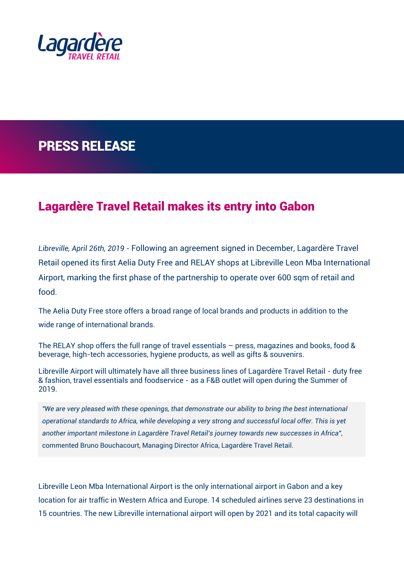

## PRESS RELEASE

## Lagardère Travel Retail makes its entry into Gabon

*Libreville, April 26th, 2019 -* Following an [agreement signed in December,](https://www.lagardere-tr.com/en/news/libreville-airport-gabon-awards-long-term-concession-lagardere-travel-retail) Lagardère Travel Retail opened its first Aelia Duty Free and RELAY shops at Libreville Leon Mba International Airport, marking the first phase of the partnership to operate over 600 sqm of retail and food.

The Aelia Duty Free store offers a broad range of local brands and products in addition to the wide range of international brands.

The RELAY shop offers the full range of travel essentials – press, magazines and books, food & beverage, high-tech accessories, hygiene products, as well as gifts & souvenirs.

Libreville Airport will ultimately have all three business lines of Lagardère Travel Retail - duty free & fashion, travel essentials and foodservice - as a F&B outlet will open during the Summer of 2019.

*"We are very pleased with these openings, that demonstrate our ability to bring the best international operational standards to Africa, while developing a very strong and successful local offer. This is yet another important milestone in Lagardère Travel Retail's journey towards new successes in Africa",*  commented Bruno Bouchacourt, Managing Director Africa, Lagardère Travel Retail.

Libreville Leon Mba International Airport is the only international airport in Gabon and a key location for air traffic in Western Africa and Europe. 14 scheduled airlines serve 23 destinations in 15 countries. The new Libreville international airport will open by 2021 and its total capacity will